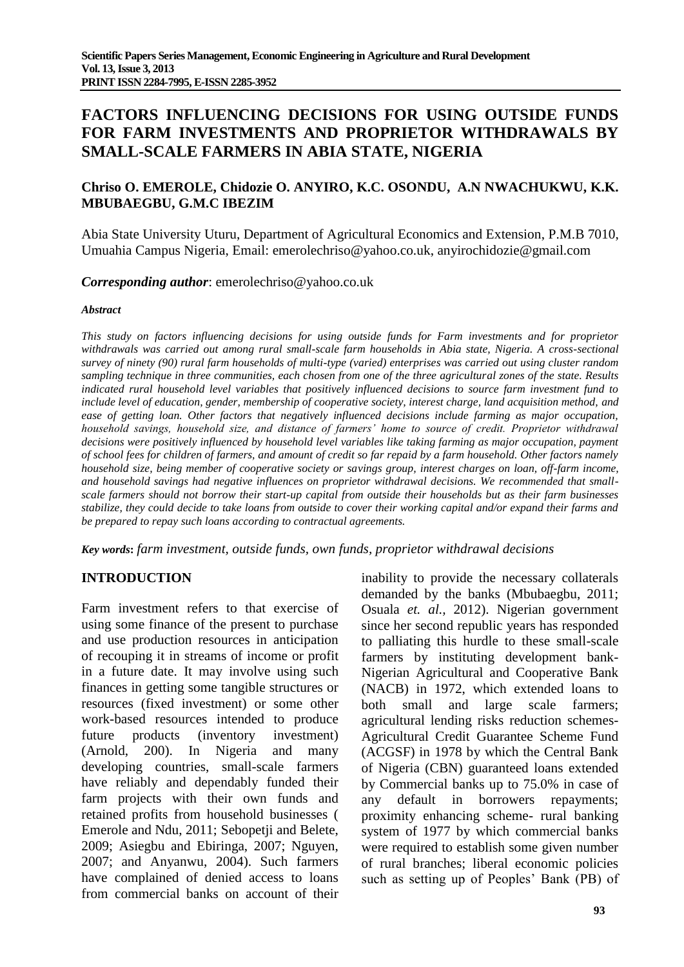# **FACTORS INFLUENCING DECISIONS FOR USING OUTSIDE FUNDS FOR FARM INVESTMENTS AND PROPRIETOR WITHDRAWALS BY SMALL-SCALE FARMERS IN ABIA STATE, NIGERIA**

## **Chriso O. EMEROLE, Chidozie O. ANYIRO, K.C. OSONDU, A.N NWACHUKWU, K.K. MBUBAEGBU, G.M.C IBEZIM**

Abia State University Uturu, Department of Agricultural Economics and Extension, P.M.B 7010, Umuahia Campus Nigeria, Email: [emerolechriso@yahoo.co.uk,](mailto:emerolechriso@yahoo.co.uk) anyirochidozie@gmail.com

### *Corresponding author*: [emerolechriso@yahoo.co.uk](mailto:emerolechriso@yahoo.co.uk)

#### *Abstract*

*This study on factors influencing decisions for using outside funds for Farm investments and for proprietor withdrawals was carried out among rural small-scale farm households in Abia state, Nigeria. A cross-sectional survey of ninety (90) rural farm households of multi-type (varied) enterprises was carried out using cluster random sampling technique in three communities, each chosen from one of the three agricultural zones of the state. Results indicated rural household level variables that positively influenced decisions to source farm investment fund to include level of education, gender, membership of cooperative society, interest charge, land acquisition method, and*  ease of getting loan. Other factors that negatively influenced decisions include farming as major occupation, *household savings, household size, and distance of farmers' home to source of credit. Proprietor withdrawal decisions were positively influenced by household level variables like taking farming as major occupation, payment of school fees for children of farmers, and amount of credit so far repaid by a farm household. Other factors namely household size, being member of cooperative society or savings group, interest charges on loan, off-farm income, and household savings had negative influences on proprietor withdrawal decisions. We recommended that smallscale farmers should not borrow their start-up capital from outside their households but as their farm businesses stabilize, they could decide to take loans from outside to cover their working capital and/or expand their farms and be prepared to repay such loans according to contractual agreements.*

*Key words***:** *farm investment, outside funds, own funds, proprietor withdrawal decisions*

### **INTRODUCTION**

Farm investment refers to that exercise of using some finance of the present to purchase and use production resources in anticipation of recouping it in streams of income or profit in a future date. It may involve using such finances in getting some tangible structures or resources (fixed investment) or some other work-based resources intended to produce future products (inventory investment) (Arnold, 200). In Nigeria and many developing countries, small-scale farmers have reliably and dependably funded their farm projects with their own funds and retained profits from household businesses ( Emerole and Ndu, 2011; Sebopetji and Belete, 2009; Asiegbu and Ebiringa, 2007; Nguyen, 2007; and Anyanwu, 2004). Such farmers have complained of denied access to loans from commercial banks on account of their

inability to provide the necessary collaterals demanded by the banks (Mbubaegbu, 2011; Osuala *et. al.,* 2012). Nigerian government since her second republic years has responded to palliating this hurdle to these small-scale farmers by instituting development bank-Nigerian Agricultural and Cooperative Bank (NACB) in 1972, which extended loans to both small and large scale farmers; agricultural lending risks reduction schemes-Agricultural Credit Guarantee Scheme Fund (ACGSF) in 1978 by which the Central Bank of Nigeria (CBN) guaranteed loans extended by Commercial banks up to 75.0% in case of any default in borrowers repayments; proximity enhancing scheme- rural banking system of 1977 by which commercial banks were required to establish some given number of rural branches; liberal economic policies such as setting up of Peoples' Bank (PB) of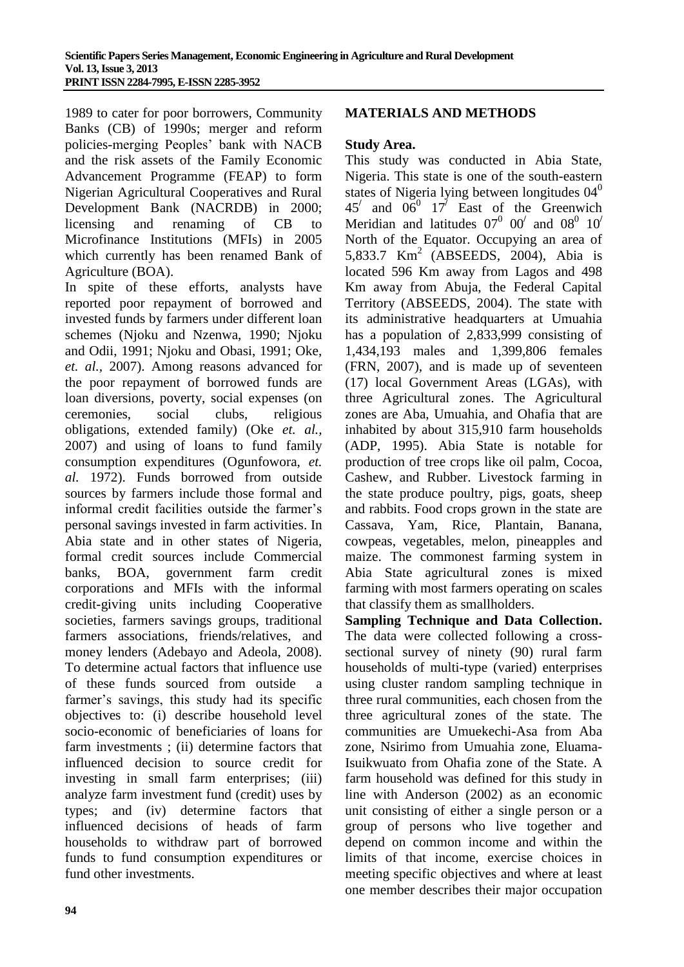1989 to cater for poor borrowers, Community Banks (CB) of 1990s; merger and reform policies-merging Peoples' bank with NACB and the risk assets of the Family Economic Advancement Programme (FEAP) to form Nigerian Agricultural Cooperatives and Rural Development Bank (NACRDB) in 2000; licensing and renaming of CB to Microfinance Institutions (MFIs) in 2005 which currently has been renamed Bank of Agriculture (BOA).

In spite of these efforts, analysts have reported poor repayment of borrowed and invested funds by farmers under different loan schemes (Njoku and Nzenwa, 1990; Njoku and Odii, 1991; Njoku and Obasi, 1991; Oke, *et. al.,* 2007). Among reasons advanced for the poor repayment of borrowed funds are loan diversions, poverty, social expenses (on ceremonies, social clubs, religious obligations, extended family) (Oke *et. al.,* 2007) and using of loans to fund family consumption expenditures (Ogunfowora, *et. al.* 1972). Funds borrowed from outside sources by farmers include those formal and informal credit facilities outside the farmer's personal savings invested in farm activities. In Abia state and in other states of Nigeria, formal credit sources include Commercial banks, BOA, government farm credit corporations and MFIs with the informal credit-giving units including Cooperative societies, farmers savings groups, traditional farmers associations, friends/relatives, and money lenders (Adebayo and Adeola, 2008). To determine actual factors that influence use of these funds sourced from outside farmer's savings, this study had its specific objectives to: (i) describe household level socio-economic of beneficiaries of loans for farm investments ; (ii) determine factors that influenced decision to source credit for investing in small farm enterprises; (iii) analyze farm investment fund (credit) uses by types; and (iv) determine factors that influenced decisions of heads of farm households to withdraw part of borrowed funds to fund consumption expenditures or fund other investments.

## **MATERIALS AND METHODS**

#### **Study Area.**

This study was conducted in Abia State, Nigeria. This state is one of the south-eastern states of Nigeria lying between longitudes  $04<sup>0</sup>$  $45'$  and  $06^0$   $17'$  East of the Greenwich Meridian and latitudes  $07^0$   $00^7$  and  $08^0$   $10^7$ North of the Equator. Occupying an area of 5,833.7 Km<sup>2</sup> (ABSEEDS, 2004), Abia is located 596 Km away from Lagos and 498 Km away from Abuja, the Federal Capital Territory (ABSEEDS, 2004). The state with its administrative headquarters at Umuahia has a population of 2,833,999 consisting of 1,434,193 males and 1,399,806 females (FRN, 2007), and is made up of seventeen (17) local Government Areas (LGAs), with three Agricultural zones. The Agricultural zones are Aba, Umuahia, and Ohafia that are inhabited by about 315,910 farm households (ADP, 1995). Abia State is notable for production of tree crops like oil palm, Cocoa, Cashew, and Rubber. Livestock farming in the state produce poultry, pigs, goats, sheep and rabbits. Food crops grown in the state are Cassava, Yam, Rice, Plantain, Banana, cowpeas, vegetables, melon, pineapples and maize. The commonest farming system in Abia State agricultural zones is mixed farming with most farmers operating on scales that classify them as smallholders.

**Sampling Technique and Data Collection.**  The data were collected following a crosssectional survey of ninety (90) rural farm households of multi-type (varied) enterprises using cluster random sampling technique in three rural communities, each chosen from the three agricultural zones of the state. The communities are Umuekechi-Asa from Aba zone, Nsirimo from Umuahia zone, Eluama-Isuikwuato from Ohafia zone of the State. A farm household was defined for this study in line with Anderson (2002) as an economic unit consisting of either a single person or a group of persons who live together and depend on common income and within the limits of that income, exercise choices in meeting specific objectives and where at least one member describes their major occupation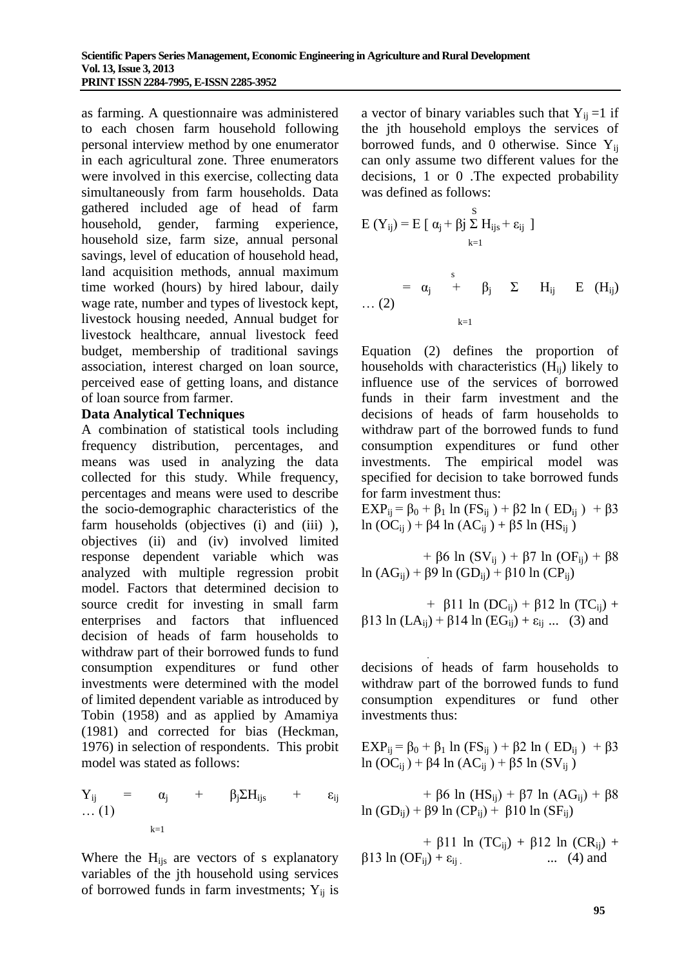as farming. A questionnaire was administered to each chosen farm household following personal interview method by one enumerator in each agricultural zone. Three enumerators were involved in this exercise, collecting data simultaneously from farm households. Data gathered included age of head of farm household, gender, farming experience, household size, farm size, annual personal savings, level of education of household head, land acquisition methods, annual maximum time worked (hours) by hired labour, daily wage rate, number and types of livestock kept, livestock housing needed, Annual budget for livestock healthcare, annual livestock feed budget, membership of traditional savings association, interest charged on loan source, perceived ease of getting loans, and distance of loan source from farmer.

### **Data Analytical Techniques**

A combination of statistical tools including frequency distribution, percentages, and means was used in analyzing the data collected for this study. While frequency, percentages and means were used to describe the socio-demographic characteristics of the farm households (objectives (i) and (iii) ), objectives (ii) and (iv) involved limited response dependent variable which was analyzed with multiple regression probit model. Factors that determined decision to source credit for investing in small farm enterprises and factors that influenced decision of heads of farm households to withdraw part of their borrowed funds to fund consumption expenditures or fund other investments were determined with the model of limited dependent variable as introduced by Tobin (1958) and as applied by Amamiya (1981) and corrected for bias (Heckman, 1976) in selection of respondents. This probit model was stated as follows:

$$
\begin{array}{lclcl} Y_{ij} & = & \alpha_j & + & \beta_j \Sigma H_{ijs} & + & \epsilon_{ij} \\ \ldots \, (1) & & & \\ & & & \\ & & & & \\ & & & & \\ & & & & \\ \end{array}
$$

Where the  $H_{ijs}$  are vectors of s explanatory variables of the jth household using services of borrowed funds in farm investments;  $Y_{ij}$  is a vector of binary variables such that  $Y_{ii} = 1$  if the jth household employs the services of borrowed funds, and 0 otherwise. Since  $Y_{ii}$ can only assume two different values for the decisions, 1 or 0 .The expected probability was defined as follows:

$$
E(Y_{ij}) = E [\alpha_j + \beta_j \sum_{k=1}^{S} H_{ijs} + \epsilon_{ij}]
$$
  
=  $\alpha_j$  <sup>$s$</sup> /<sub>+</sub>  $\beta_j$   $\sum$   $H_{ij}$   $E(H_{ij})$   
... (2) <sup>$k=1$</sup> 

Equation (2) defines the proportion of households with characteristics  $(H_{ii})$  likely to influence use of the services of borrowed funds in their farm investment and the decisions of heads of farm households to withdraw part of the borrowed funds to fund consumption expenditures or fund other investments. The empirical model was specified for decision to take borrowed funds for farm investment thus:

EXP<sub>ij</sub> = β<sub>0</sub> + β<sub>1</sub> ln (FS<sub>ij</sub>) + β2 ln ( ED<sub>ij</sub>) + β3 ln (OC<sub>ij</sub>) + β4 ln (AC<sub>ij</sub>) + β5 ln (HS<sub>ij</sub>)

+ β6 ln (SV<sub>ij</sub>) + β7 ln (OF<sub>ij</sub>) + β8 ln (AG<sub>ii</sub>) + β9 ln (GD<sub>ii</sub>) + β10 ln (CP<sub>ii</sub>)

+ β11 ln (DC<sub>ij</sub>) + β12 ln (TC<sub>ij</sub>) + β13 ln (LA<sub>ii</sub>) + β14 ln (EG<sub>ii</sub>) + ε<sub>ij</sub> ... (3) and

 . decisions of heads of farm households to withdraw part of the borrowed funds to fund consumption expenditures or fund other investments thus:

EXP<sub>ij</sub> = β<sub>0</sub> + β<sub>1</sub> ln (FS<sub>ij</sub>) + β2 ln ( ED<sub>ij</sub>) + β3 ln (OC<sub>ij</sub>) + β4 ln (AC<sub>ij</sub>) + β5 ln (SV<sub>ij</sub>)

+ β6 ln (HS<sub>ii</sub>) + β7 ln (AG<sub>ii</sub>) + β8 ln (GD<sub>ii</sub>) + β9 ln (CP<sub>ii</sub>) + β10 ln (SF<sub>ii</sub>)

+ β11 ln (TC<sub>ii</sub>) + β12 ln (CR<sub>ii</sub>) +  $\beta$ 13 ln (OF<sub>ij</sub>) +  $\varepsilon$ <sub>ij</sub> . ... (4) and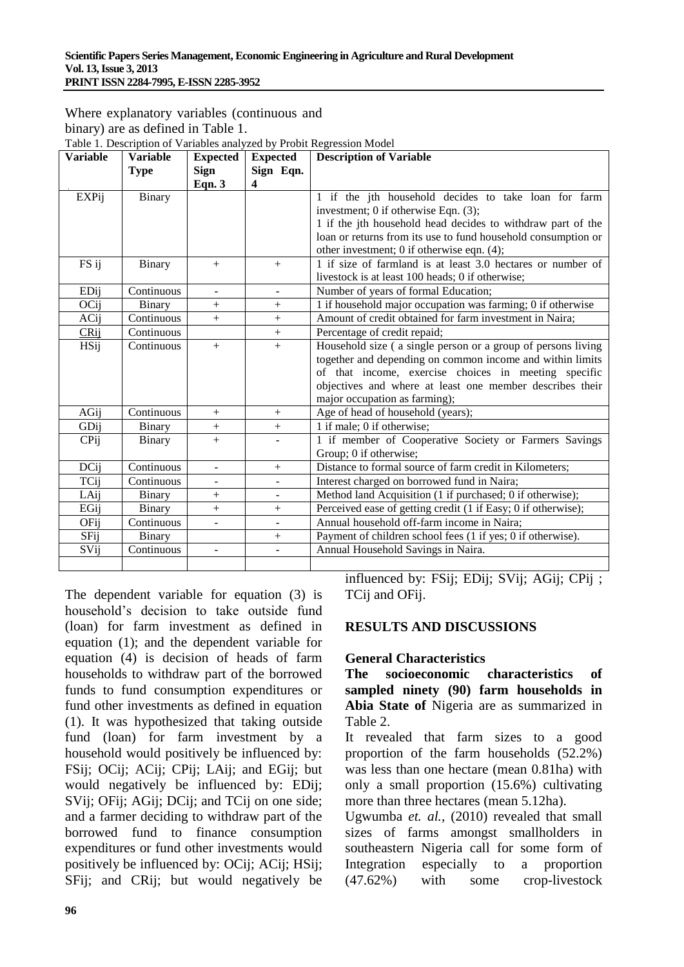| Where explanatory variables (continuous and                           |
|-----------------------------------------------------------------------|
| binary) are as defined in Table 1.                                    |
| Table 1. Description of Variables analyzed by Probit Regression Model |

| <b>Variable</b> | <b>Variable</b> | <b>Expected</b>          | <b>Expected</b> | <b>Description of Variable</b>                                |  |
|-----------------|-----------------|--------------------------|-----------------|---------------------------------------------------------------|--|
|                 | <b>Type</b>     | <b>Sign</b>              | Sign Eqn.       |                                                               |  |
|                 |                 | Eqn. $3$                 | 4               |                                                               |  |
| <b>EXPij</b>    | Binary          |                          |                 | 1 if the jth household decides to take loan for farm          |  |
|                 |                 |                          |                 | investment; 0 if otherwise Eqn. (3);                          |  |
|                 |                 |                          |                 | 1 if the jth household head decides to withdraw part of the   |  |
|                 |                 |                          |                 | loan or returns from its use to fund household consumption or |  |
|                 |                 |                          |                 | other investment; 0 if otherwise eqn. $(4)$ ;                 |  |
| FS ij           | Binary          | $+$                      | $+$             | 1 if size of farmland is at least 3.0 hectares or number of   |  |
|                 |                 |                          |                 | livestock is at least 100 heads; 0 if otherwise;              |  |
| EDij            | Continuous      | $\blacksquare$           | $\sim$          | Number of years of formal Education;                          |  |
| OCij            | Binary          | $+$                      | $+$             | 1 if household major occupation was farming; 0 if otherwise   |  |
| ACij            | Continuous      | $^{+}$                   | $^{+}$          | Amount of credit obtained for farm investment in Naira;       |  |
| CRij            | Continuous      |                          | $^{+}$          | Percentage of credit repaid;                                  |  |
| <b>HSij</b>     | Continuous      | $+$                      | $+$             | Household size (a single person or a group of persons living  |  |
|                 |                 |                          |                 | together and depending on common income and within limits     |  |
|                 |                 |                          |                 | of that income, exercise choices in meeting specific          |  |
|                 |                 |                          |                 | objectives and where at least one member describes their      |  |
|                 |                 |                          |                 | major occupation as farming);                                 |  |
| AGij            | Continuous      |                          | $^{+}$          | Age of head of household (years);                             |  |
| GDij            | Binary          | $^{+}$                   | $^{+}$          | 1 if male; 0 if otherwise;                                    |  |
| CPij            | Binary          | $^{+}$                   |                 | 1 if member of Cooperative Society or Farmers Savings         |  |
|                 |                 |                          |                 | Group; 0 if otherwise;                                        |  |
| DCij            | Continuous      | $\overline{a}$           | $^{+}$          | Distance to formal source of farm credit in Kilometers;       |  |
| TCij            | Continuous      | $\overline{\phantom{0}}$ |                 | Interest charged on borrowed fund in Naira;                   |  |
| LAij            | Binary          | $^{+}$                   |                 | Method land Acquisition (1 if purchased; 0 if otherwise);     |  |
| EGij            | Binary          | $^{+}$                   | $^{+}$          | Perceived ease of getting credit (1 if Easy; 0 if otherwise); |  |
| OFij            | Continuous      |                          |                 | Annual household off-farm income in Naira;                    |  |
| SFij            | <b>Binary</b>   |                          | $^{+}$          | Payment of children school fees (1 if yes; 0 if otherwise).   |  |
| SVij            | Continuous      | $\overline{a}$           |                 | Annual Household Savings in Naira.                            |  |
|                 |                 |                          |                 |                                                               |  |

The dependent variable for equation (3) is household's decision to take outside fund (loan) for farm investment as defined in equation (1); and the dependent variable for equation (4) is decision of heads of farm households to withdraw part of the borrowed funds to fund consumption expenditures or fund other investments as defined in equation (1). It was hypothesized that taking outside fund (loan) for farm investment by a household would positively be influenced by: FSij; OCij; ACij; CPij; LAij; and EGij; but would negatively be influenced by: EDij; SVij; OFij; AGij; DCij; and TCij on one side; and a farmer deciding to withdraw part of the borrowed fund to finance consumption expenditures or fund other investments would positively be influenced by: OCij; ACij; HSij; SFij; and CRij; but would negatively be

**96**

influenced by: FSij; EDij; SVij; AGij; CPij ; TCij and OFij.

## **RESULTS AND DISCUSSIONS**

### **General Characteristics**

**The socioeconomic characteristics of sampled ninety (90) farm households in Abia State of** Nigeria are as summarized in Table 2.

It revealed that farm sizes to a good proportion of the farm households (52.2%) was less than one hectare (mean 0.81ha) with only a small proportion (15.6%) cultivating more than three hectares (mean 5.12ha).

Ugwumba *et. al.,* (2010) revealed that small sizes of farms amongst smallholders in southeastern Nigeria call for some form of Integration especially to a proportion (47.62%) with some crop-livestock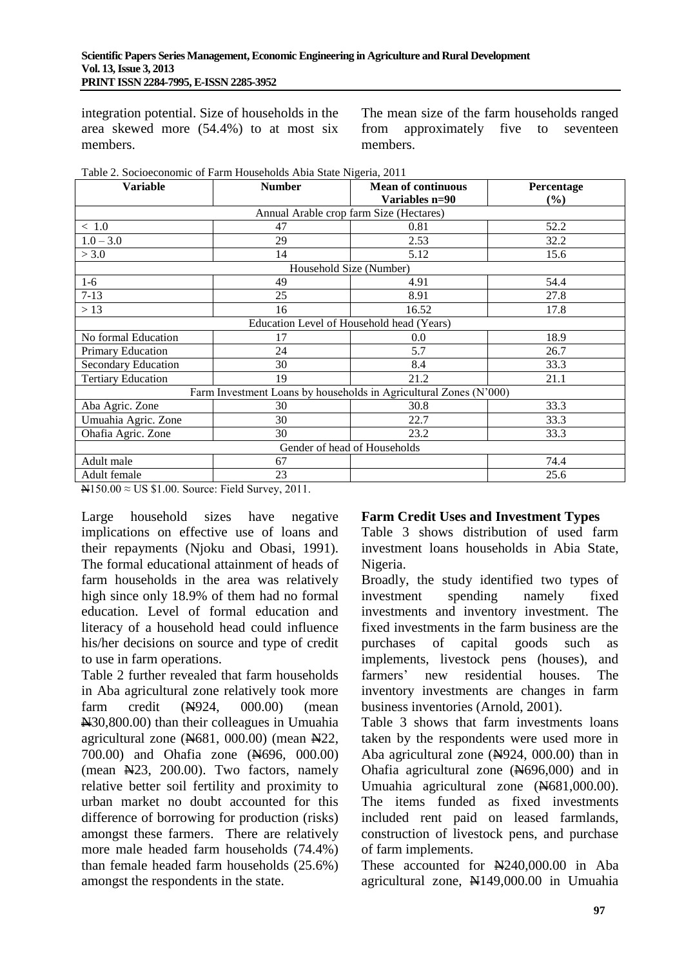integration potential. Size of households in the area skewed more (54.4%) to at most six members.

The mean size of the farm households ranged from approximately five to seventeen members.

| <b>Variable</b>                                                   | <b>Number</b>                                                                      | <b>Mean of continuous</b>                 | Percentage |  |  |
|-------------------------------------------------------------------|------------------------------------------------------------------------------------|-------------------------------------------|------------|--|--|
|                                                                   |                                                                                    | Variables n=90                            | $($ %)     |  |  |
|                                                                   | Annual Arable crop farm Size (Hectares)                                            |                                           |            |  |  |
| $<\,1.0$                                                          | 47                                                                                 | 0.81                                      | 52.2       |  |  |
| $1.0 - 3.0$                                                       | 29                                                                                 | 2.53                                      | 32.2       |  |  |
| > 3.0                                                             | 14                                                                                 | 5.12                                      | 15.6       |  |  |
| Household Size (Number)                                           |                                                                                    |                                           |            |  |  |
| $1-6$                                                             | 49                                                                                 | 4.91                                      | 54.4       |  |  |
| $7 - 13$                                                          | 25                                                                                 | 8.91                                      | 27.8       |  |  |
| >13                                                               | 16                                                                                 | 16.52                                     | 17.8       |  |  |
|                                                                   |                                                                                    | Education Level of Household head (Years) |            |  |  |
| No formal Education                                               | 17                                                                                 | 0.0                                       | 18.9       |  |  |
| Primary Education                                                 | 24                                                                                 | 5.7                                       | 26.7       |  |  |
| <b>Secondary Education</b>                                        | 30                                                                                 | 8.4                                       | 33.3       |  |  |
| <b>Tertiary Education</b>                                         | 19                                                                                 | 21.2                                      | 21.1       |  |  |
| Farm Investment Loans by households in Agricultural Zones (N'000) |                                                                                    |                                           |            |  |  |
| Aba Agric. Zone                                                   | 30                                                                                 | 30.8                                      | 33.3       |  |  |
| Umuahia Agric. Zone                                               | 30                                                                                 | 22.7                                      | 33.3       |  |  |
| Ohafia Agric. Zone                                                | 30                                                                                 | 23.2                                      | 33.3       |  |  |
| Gender of head of Households                                      |                                                                                    |                                           |            |  |  |
| Adult male                                                        | 67                                                                                 |                                           | 74.4       |  |  |
| Adult female                                                      | 23                                                                                 |                                           | 25.6       |  |  |
| $\frac{1}{2}$                                                     | $\mathbf{r}$ $\mathbf{r}$ $\mathbf{r}$ $\mathbf{r}$<br>$\sim$ $\sim$ $\sim$ $\sim$ |                                           |            |  |  |

 $N150.00 \approx US $1.00$ . Source: Field Survey, 2011.

Large household sizes have negative implications on effective use of loans and their repayments (Njoku and Obasi, 1991). The formal educational attainment of heads of farm households in the area was relatively high since only 18.9% of them had no formal education. Level of formal education and literacy of a household head could influence his/her decisions on source and type of credit to use in farm operations.

Table 2 further revealed that farm households in Aba agricultural zone relatively took more farm credit  $(\frac{N}{924}, \frac{000.00}{100})$  (mean N30,800.00) than their colleagues in Umuahia agricultural zone  $(\text{N}681, 000.00)$  (mean  $\text{N}22$ , 700.00) and Ohafia zone (N696, 000.00) (mean N23, 200.00). Two factors, namely relative better soil fertility and proximity to urban market no doubt accounted for this difference of borrowing for production (risks) amongst these farmers. There are relatively more male headed farm households (74.4%) than female headed farm households (25.6%) amongst the respondents in the state.

## **Farm Credit Uses and Investment Types**

Table 3 shows distribution of used farm investment loans households in Abia State, Nigeria.

Broadly, the study identified two types of investment spending namely fixed investments and inventory investment. The fixed investments in the farm business are the purchases of capital goods such as implements, livestock pens (houses), and farmers' new residential houses. The inventory investments are changes in farm business inventories (Arnold, 2001).

Table 3 shows that farm investments loans taken by the respondents were used more in Aba agricultural zone  $(\frac{N}{924}, 000.00)$  than in Ohafia agricultural zone  $(\text{N696},000)$  and in Umuahia agricultural zone (N681,000.00). The items funded as fixed investments included rent paid on leased farmlands, construction of livestock pens, and purchase of farm implements.

These accounted for  $\mathbb{N}240,000.00$  in Aba agricultural zone, N149,000.00 in Umuahia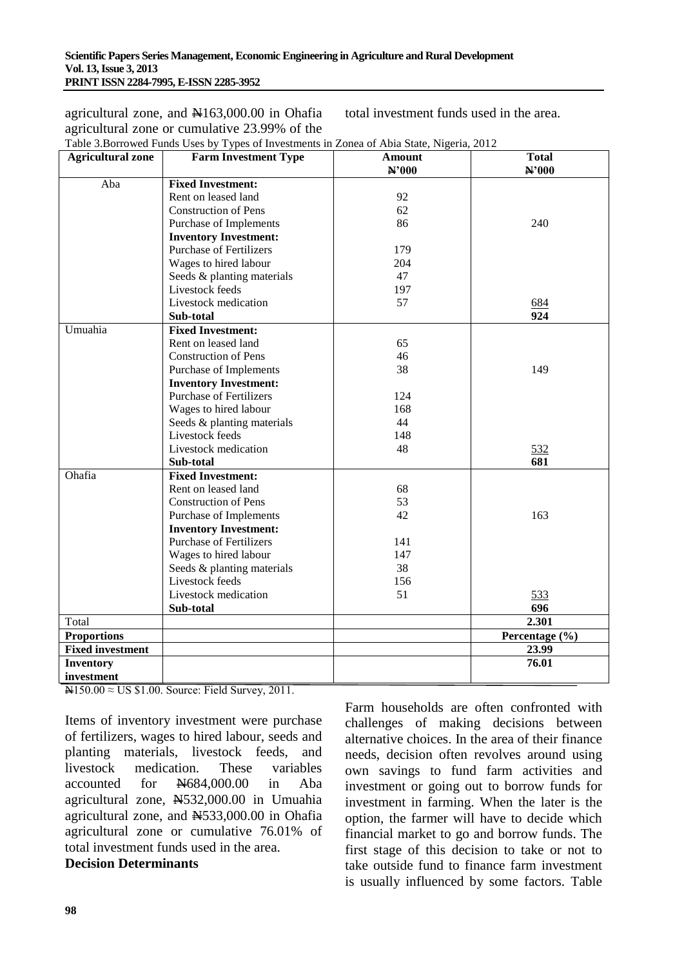agricultural zone, and  $\text{H}163,000.00$  in Ohafia agricultural zone or cumulative 23.99% of the total investment funds used in the area.

| <b>Agricultural zone</b> | <b>Farm Investment Type</b>                                    | <b>Amount</b><br>N'000 | <b>Total</b><br>N'000 |
|--------------------------|----------------------------------------------------------------|------------------------|-----------------------|
| Aba                      | <b>Fixed Investment:</b>                                       |                        |                       |
|                          | Rent on leased land                                            | 92                     |                       |
|                          | <b>Construction of Pens</b>                                    | 62                     |                       |
|                          | Purchase of Implements                                         | 86                     | 240                   |
|                          |                                                                |                        |                       |
|                          | <b>Inventory Investment:</b><br><b>Purchase of Fertilizers</b> |                        |                       |
|                          |                                                                | 179<br>204             |                       |
|                          | Wages to hired labour                                          |                        |                       |
|                          | Seeds & planting materials                                     | 47                     |                       |
|                          | Livestock feeds                                                | 197                    |                       |
|                          | Livestock medication                                           | 57                     | 684                   |
|                          | Sub-total                                                      |                        | 924                   |
| Umuahia                  | <b>Fixed Investment:</b>                                       |                        |                       |
|                          | Rent on leased land                                            | 65                     |                       |
|                          | <b>Construction of Pens</b>                                    | 46                     |                       |
|                          | Purchase of Implements                                         | 38                     | 149                   |
|                          | <b>Inventory Investment:</b>                                   |                        |                       |
|                          | <b>Purchase of Fertilizers</b>                                 | 124                    |                       |
|                          | Wages to hired labour                                          | 168                    |                       |
|                          | Seeds & planting materials                                     | 44                     |                       |
|                          | Livestock feeds                                                | 148                    |                       |
|                          | Livestock medication                                           | 48                     | 532                   |
|                          | Sub-total                                                      |                        | 681                   |
| Ohafia                   | <b>Fixed Investment:</b>                                       |                        |                       |
|                          | Rent on leased land                                            | 68                     |                       |
|                          | <b>Construction of Pens</b>                                    | 53                     |                       |
|                          | Purchase of Implements                                         | 42                     | 163                   |
|                          | <b>Inventory Investment:</b>                                   |                        |                       |
|                          | <b>Purchase of Fertilizers</b>                                 | 141                    |                       |
|                          | Wages to hired labour                                          | 147                    |                       |
|                          | Seeds & planting materials                                     | 38                     |                       |
|                          | Livestock feeds                                                | 156                    |                       |
|                          | Livestock medication                                           | 51                     | 533                   |
|                          | Sub-total                                                      |                        | 696                   |
| Total                    |                                                                |                        | 2.301                 |
| <b>Proportions</b>       |                                                                |                        | Percentage (%)        |
| <b>Fixed investment</b>  |                                                                |                        | 23.99                 |
| <b>Inventory</b>         |                                                                |                        | 76.01                 |
| investment               |                                                                |                        |                       |

Table 3.Borrowed Funds Uses by Types of Investments in Zonea of Abia State, Nigeria, 2012

 $N150.00 \approx US $1.00$ . Source: Field Survey, 2011.

Items of inventory investment were purchase of fertilizers, wages to hired labour, seeds and planting materials, livestock feeds, and livestock medication. These variables accounted for N684,000.00 in Aba agricultural zone, N532,000.00 in Umuahia agricultural zone, and N533,000.00 in Ohafia agricultural zone or cumulative 76.01% of total investment funds used in the area.

# **Decision Determinants**

Farm households are often confronted with challenges of making decisions between alternative choices. In the area of their finance needs, decision often revolves around using own savings to fund farm activities and investment or going out to borrow funds for investment in farming. When the later is the option, the farmer will have to decide which financial market to go and borrow funds. The first stage of this decision to take or not to take outside fund to finance farm investment is usually influenced by some factors. Table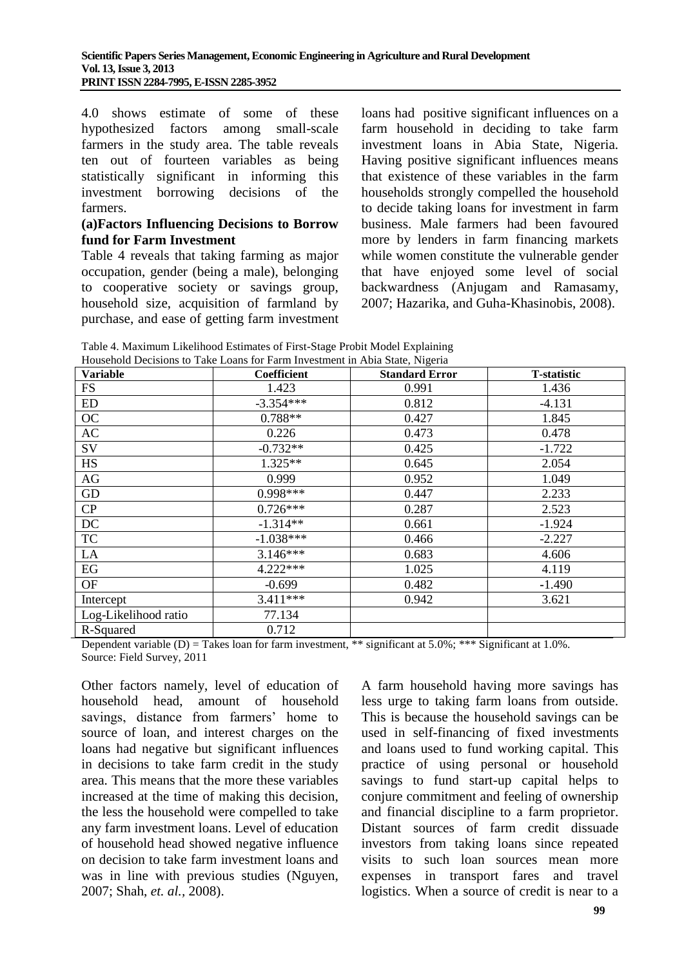4.0 shows estimate of some of these hypothesized factors among small-scale farmers in the study area. The table reveals ten out of fourteen variables as being statistically significant in informing this investment borrowing decisions of the farmers.

#### **(a)Factors Influencing Decisions to Borrow fund for Farm Investment**

Table 4 reveals that taking farming as major occupation, gender (being a male), belonging to cooperative society or savings group, household size, acquisition of farmland by purchase, and ease of getting farm investment loans had positive significant influences on a farm household in deciding to take farm investment loans in Abia State, Nigeria. Having positive significant influences means that existence of these variables in the farm households strongly compelled the household to decide taking loans for investment in farm business. Male farmers had been favoured more by lenders in farm financing markets while women constitute the vulnerable gender that have enjoyed some level of social backwardness (Anjugam and Ramasamy, 2007; Hazarika, and Guha-Khasinobis, 2008).

| Table 4. Maximum Likelihood Estimates of First-Stage Probit Model Explaining |  |
|------------------------------------------------------------------------------|--|
| Household Decisions to Take Loans for Farm Investment in Abia State, Nigeria |  |

| Variable             | Coefficient | <b>Standard Error</b> | <b>T-statistic</b> |
|----------------------|-------------|-----------------------|--------------------|
| FS                   | 1.423       | 0.991                 | 1.436              |
| ED                   | $-3.354***$ | 0.812                 | $-4.131$           |
| OC                   | $0.788**$   | 0.427                 | 1.845              |
| AC                   | 0.226       | 0.473                 | 0.478              |
| SV                   | $-0.732**$  | 0.425                 | $-1.722$           |
| <b>HS</b>            | $1.325**$   | 0.645                 | 2.054              |
| AG                   | 0.999       | 0.952                 | 1.049              |
| GD                   | 0.998***    | 0.447                 | 2.233              |
| CP                   | $0.726***$  | 0.287                 | 2.523              |
| DC                   | $-1.314**$  | 0.661                 | $-1.924$           |
| <b>TC</b>            | $-1.038***$ | 0.466                 | $-2.227$           |
| LA                   | $3.146***$  | 0.683                 | 4.606              |
| EG                   | $4.222***$  | 1.025                 | 4.119              |
| OF                   | $-0.699$    | 0.482                 | $-1.490$           |
| Intercept            | $3.411***$  | 0.942                 | 3.621              |
| Log-Likelihood ratio | 77.134      |                       |                    |
| R-Squared            | 0.712       |                       |                    |

Dependent variable (D) = Takes loan for farm investment, \*\* significant at 5.0%; \*\*\* Significant at 1.0%. Source: Field Survey, 2011

Other factors namely, level of education of household head, amount of household savings, distance from farmers' home to source of loan, and interest charges on the loans had negative but significant influences in decisions to take farm credit in the study area. This means that the more these variables increased at the time of making this decision, the less the household were compelled to take any farm investment loans. Level of education of household head showed negative influence on decision to take farm investment loans and was in line with previous studies (Nguyen, 2007; Shah, *et. al.,* 2008).

A farm household having more savings has less urge to taking farm loans from outside. This is because the household savings can be used in self-financing of fixed investments and loans used to fund working capital. This practice of using personal or household savings to fund start-up capital helps to conjure commitment and feeling of ownership and financial discipline to a farm proprietor. Distant sources of farm credit dissuade investors from taking loans since repeated visits to such loan sources mean more expenses in transport fares and travel logistics. When a source of credit is near to a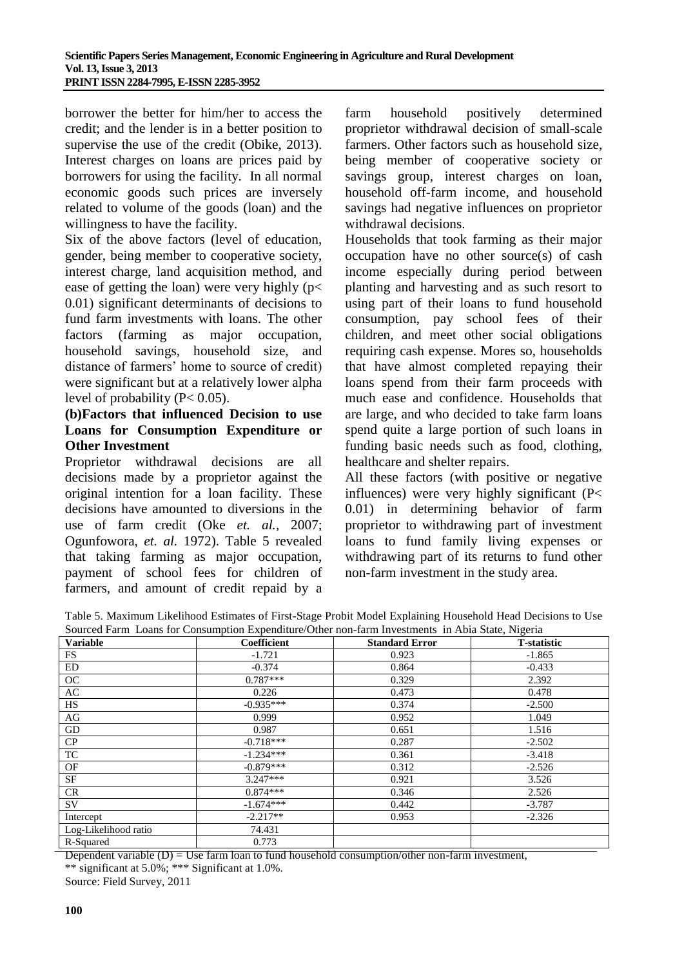borrower the better for him/her to access the credit; and the lender is in a better position to supervise the use of the credit (Obike, 2013). Interest charges on loans are prices paid by borrowers for using the facility. In all normal economic goods such prices are inversely related to volume of the goods (loan) and the willingness to have the facility.

Six of the above factors (level of education, gender, being member to cooperative society, interest charge, land acquisition method, and ease of getting the loan) were very highly ( $p$ < 0.01) significant determinants of decisions to fund farm investments with loans. The other factors (farming as major occupation, household savings, household size, and distance of farmers' home to source of credit) were significant but at a relatively lower alpha level of probability  $(P< 0.05)$ .

## **(b)Factors that influenced Decision to use Loans for Consumption Expenditure or Other Investment**

Proprietor withdrawal decisions are all decisions made by a proprietor against the original intention for a loan facility. These decisions have amounted to diversions in the use of farm credit (Oke *et. al.,* 2007; Ogunfowora, *et. al.* 1972). Table 5 revealed that taking farming as major occupation, payment of school fees for children of farmers, and amount of credit repaid by a

farm household positively determined proprietor withdrawal decision of small-scale farmers. Other factors such as household size, being member of cooperative society or savings group, interest charges on loan, household off-farm income, and household savings had negative influences on proprietor withdrawal decisions.

Households that took farming as their major occupation have no other source(s) of cash income especially during period between planting and harvesting and as such resort to using part of their loans to fund household consumption, pay school fees of their children, and meet other social obligations requiring cash expense. Mores so, households that have almost completed repaying their loans spend from their farm proceeds with much ease and confidence. Households that are large, and who decided to take farm loans spend quite a large portion of such loans in funding basic needs such as food, clothing, healthcare and shelter repairs.

All these factors (with positive or negative influences) were very highly significant (P< 0.01) in determining behavior of farm proprietor to withdrawing part of investment loans to fund family living expenses or withdrawing part of its returns to fund other non-farm investment in the study area.

Table 5. Maximum Likelihood Estimates of First-Stage Probit Model Explaining Household Head Decisions to Use Sourced Farm Loans for Consumption Expenditure/Other non-farm Investments in Abia State, Nigeria

| <b>Variable</b>      | Coefficient | <b>Standard Error</b> | <b>T</b> -statistic |
|----------------------|-------------|-----------------------|---------------------|
| FS                   | $-1.721$    | 0.923                 | $-1.865$            |
| ED                   | $-0.374$    | 0.864                 | $-0.433$            |
| OC                   | $0.787***$  | 0.329                 | 2.392               |
| AC                   | 0.226       | 0.473                 | 0.478               |
| HS                   | $-0.935***$ | 0.374                 | $-2.500$            |
| AG                   | 0.999       | 0.952                 | 1.049               |
| GD                   | 0.987       | 0.651                 | 1.516               |
| CP                   | $-0.718***$ | 0.287                 | $-2.502$            |
| TC                   | $-1.234***$ | 0.361                 | $-3.418$            |
| OF                   | $-0.879***$ | 0.312                 | $-2.526$            |
| SF                   | $3.247***$  | 0.921                 | 3.526               |
| <b>CR</b>            | $0.874***$  | 0.346                 | 2.526               |
| SV.                  | $-1.674***$ | 0.442                 | $-3.787$            |
| Intercept            | $-2.217**$  | 0.953                 | $-2.326$            |
| Log-Likelihood ratio | 74.431      |                       |                     |
| R-Squared            | 0.773       |                       |                     |

Dependent variable  $(D) = Use farm loan to fund household consumption/other non-farm investment,$ \*\* significant at 5.0%; \*\*\* Significant at 1.0%.

Source: Field Survey, 2011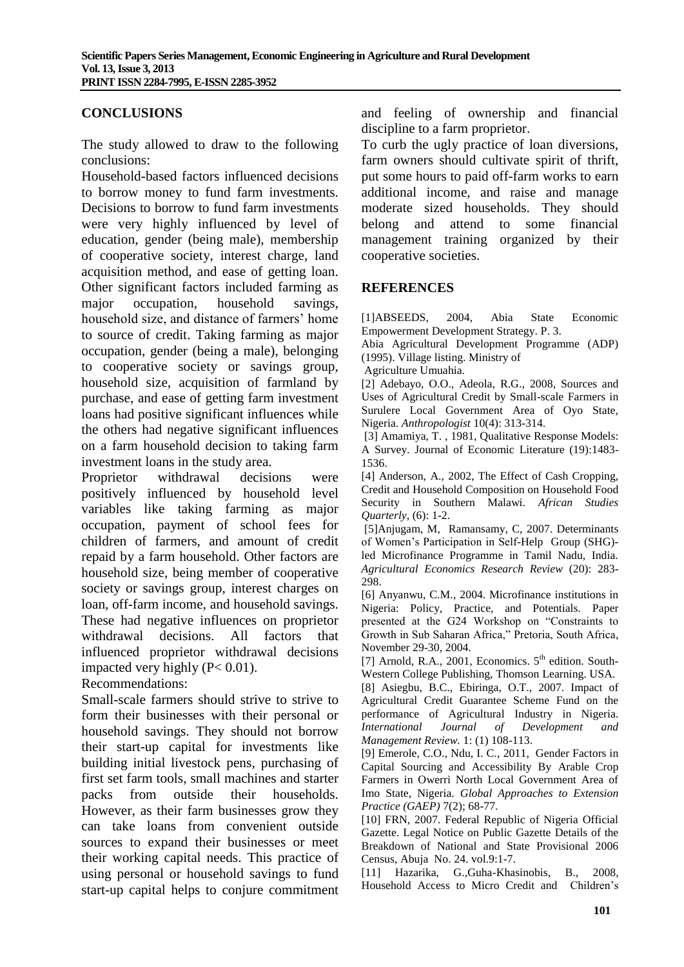## **CONCLUSIONS**

The study allowed to draw to the following conclusions:

Household-based factors influenced decisions to borrow money to fund farm investments. Decisions to borrow to fund farm investments were very highly influenced by level of education, gender (being male), membership of cooperative society, interest charge, land acquisition method, and ease of getting loan. Other significant factors included farming as major occupation, household savings, household size, and distance of farmers' home to source of credit. Taking farming as major occupation, gender (being a male), belonging to cooperative society or savings group, household size, acquisition of farmland by purchase, and ease of getting farm investment loans had positive significant influences while the others had negative significant influences on a farm household decision to taking farm investment loans in the study area.

Proprietor withdrawal decisions were positively influenced by household level variables like taking farming as major occupation, payment of school fees for children of farmers, and amount of credit repaid by a farm household. Other factors are household size, being member of cooperative society or savings group, interest charges on loan, off-farm income, and household savings. These had negative influences on proprietor withdrawal decisions. All factors that influenced proprietor withdrawal decisions impacted very highly (P< 0.01).

#### Recommendations:

Small-scale farmers should strive to strive to form their businesses with their personal or household savings. They should not borrow their start-up capital for investments like building initial livestock pens, purchasing of first set farm tools, small machines and starter packs from outside their households. However, as their farm businesses grow they can take loans from convenient outside sources to expand their businesses or meet their working capital needs. This practice of using personal or household savings to fund start-up capital helps to conjure commitment and feeling of ownership and financial discipline to a farm proprietor.

To curb the ugly practice of loan diversions, farm owners should cultivate spirit of thrift. put some hours to paid off-farm works to earn additional income, and raise and manage moderate sized households. They should belong and attend to some financial management training organized by their cooperative societies.

#### **REFERENCES**

[1]ABSEEDS, 2004, Abia State Economic Empowerment Development Strategy. P. 3.

Abia Agricultural Development Programme (ADP) (1995). Village listing. Ministry of

Agriculture Umuahia.

[2] Adebayo, O.O., Adeola, R.G., 2008, Sources and Uses of Agricultural Credit by Small-scale Farmers in Surulere Local Government Area of Oyo State, Nigeria. *Anthropologist* 10(4): 313-314.

[3] Amamiya, T. , 1981, Qualitative Response Models: A Survey. Journal of Economic Literature (19):1483- 1536.

[4] Anderson, A., 2002, The Effect of Cash Cropping, Credit and Household Composition on Household Food Security in Southern Malawi. *African Studies Quarterly*, (6): 1-2.

[5]Anjugam, M, Ramansamy, C, 2007. Determinants of Women's Participation in Self-Help Group (SHG) led Microfinance Programme in Tamil Nadu, India. *Agricultural Economics Research Review* (20): 283- 298.

[6] Anyanwu, C.M., 2004. Microfinance institutions in Nigeria: Policy, Practice, and Potentials*.* Paper presented at the G24 Workshop on "Constraints to Growth in Sub Saharan Africa," Pretoria, South Africa, November 29-30, 2004.

[7] Arnold, R.A., 2001, Economics.  $5<sup>th</sup>$  edition. South-Western College Publishing, Thomson Learning. USA.

[8] Asiegbu, B.C., Ebiringa, O.T., 2007. Impact of Agricultural Credit Guarantee Scheme Fund on the performance of Agricultural Industry in Nigeria. *International Journal of Development and Management Review.* 1: (1) 108-113.

[9] Emerole, C.O., Ndu, I. C., 2011, Gender Factors in Capital Sourcing and Accessibility By Arable Crop Farmers in Owerri North Local Government Area of Imo State, Nigeria. *Global Approaches to Extension Practice (GAEP)* 7(2); 68-77.

[10] FRN, 2007. Federal Republic of Nigeria Official Gazette. Legal Notice on Public Gazette Details of the Breakdown of National and State Provisional 2006 Census, Abuja No. 24. vol.9:1-7.

[11] Hazarika, G.,Guha-Khasinobis, B., 2008, Household Access to Micro Credit and Children's